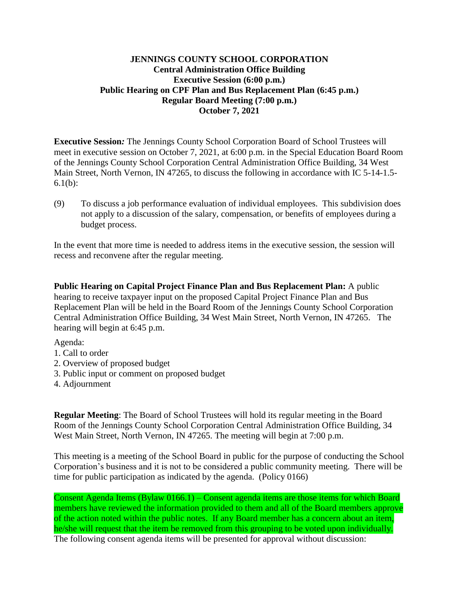## **JENNINGS COUNTY SCHOOL CORPORATION Central Administration Office Building Executive Session (6:00 p.m.) Public Hearing on CPF Plan and Bus Replacement Plan (6:45 p.m.) Regular Board Meeting (7:00 p.m.) October 7, 2021**

**Executive Session***:* The Jennings County School Corporation Board of School Trustees will meet in executive session on October 7, 2021, at 6:00 p.m. in the Special Education Board Room of the Jennings County School Corporation Central Administration Office Building, 34 West Main Street, North Vernon, IN 47265, to discuss the following in accordance with IC 5-14-1.5- 6.1(b):

(9) To discuss a job performance evaluation of individual employees. This subdivision does not apply to a discussion of the salary, compensation, or benefits of employees during a budget process.

In the event that more time is needed to address items in the executive session, the session will recess and reconvene after the regular meeting.

**Public Hearing on Capital Project Finance Plan and Bus Replacement Plan:** A public hearing to receive taxpayer input on the proposed Capital Project Finance Plan and Bus Replacement Plan will be held in the Board Room of the Jennings County School Corporation Central Administration Office Building, 34 West Main Street, North Vernon, IN 47265. The hearing will begin at 6:45 p.m.

Agenda:

- 1. Call to order
- 2. Overview of proposed budget
- 3. Public input or comment on proposed budget
- 4. Adjournment

**Regular Meeting**: The Board of School Trustees will hold its regular meeting in the Board Room of the Jennings County School Corporation Central Administration Office Building, 34 West Main Street, North Vernon, IN 47265. The meeting will begin at 7:00 p.m.

This meeting is a meeting of the School Board in public for the purpose of conducting the School Corporation's business and it is not to be considered a public community meeting. There will be time for public participation as indicated by the agenda. (Policy 0166)

Consent Agenda Items (Bylaw 0166.1) – Consent agenda items are those items for which Board members have reviewed the information provided to them and all of the Board members approve of the action noted within the public notes. If any Board member has a concern about an item, he/she will request that the item be removed from this grouping to be voted upon individually. The following consent agenda items will be presented for approval without discussion: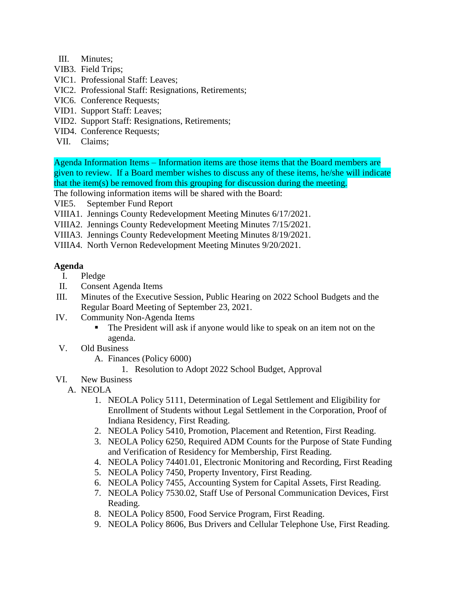- III. Minutes;
- VIB3. Field Trips;
- VIC1. Professional Staff: Leaves;
- VIC2. Professional Staff: Resignations, Retirements;
- VIC6. Conference Requests;
- VID1. Support Staff: Leaves;
- VID2. Support Staff: Resignations, Retirements;
- VID4. Conference Requests;
- VII. Claims;

Agenda Information Items – Information items are those items that the Board members are given to review. If a Board member wishes to discuss any of these items, he/she will indicate that the item(s) be removed from this grouping for discussion during the meeting.

The following information items will be shared with the Board:

- VIE5. September Fund Report
- VIIIA1. Jennings County Redevelopment Meeting Minutes 6/17/2021.
- VIIIA2. Jennings County Redevelopment Meeting Minutes 7/15/2021.
- VIIIA3. Jennings County Redevelopment Meeting Minutes 8/19/2021.
- VIIIA4. North Vernon Redevelopment Meeting Minutes 9/20/2021.

## **Agenda**

- I. Pledge
- II. Consent Agenda Items
- III. Minutes of the Executive Session, Public Hearing on 2022 School Budgets and the Regular Board Meeting of September 23, 2021.
- IV. Community Non-Agenda Items
	- The President will ask if anyone would like to speak on an item not on the agenda.
- V. Old Business
	- A. Finances (Policy 6000)
		- 1. Resolution to Adopt 2022 School Budget, Approval
- VI. New Business
	- A. NEOLA
		- 1. NEOLA Policy 5111, Determination of Legal Settlement and Eligibility for Enrollment of Students without Legal Settlement in the Corporation, Proof of Indiana Residency, First Reading.
		- 2. NEOLA Policy 5410, Promotion, Placement and Retention, First Reading.
		- 3. NEOLA Policy 6250, Required ADM Counts for the Purpose of State Funding and Verification of Residency for Membership, First Reading.
		- 4. NEOLA Policy 74401.01, Electronic Monitoring and Recording, First Reading
		- 5. NEOLA Policy 7450, Property Inventory, First Reading.
		- 6. NEOLA Policy 7455, Accounting System for Capital Assets, First Reading.
		- 7. NEOLA Policy 7530.02, Staff Use of Personal Communication Devices, First Reading.
		- 8. NEOLA Policy 8500, Food Service Program, First Reading.
		- 9. NEOLA Policy 8606, Bus Drivers and Cellular Telephone Use, First Reading.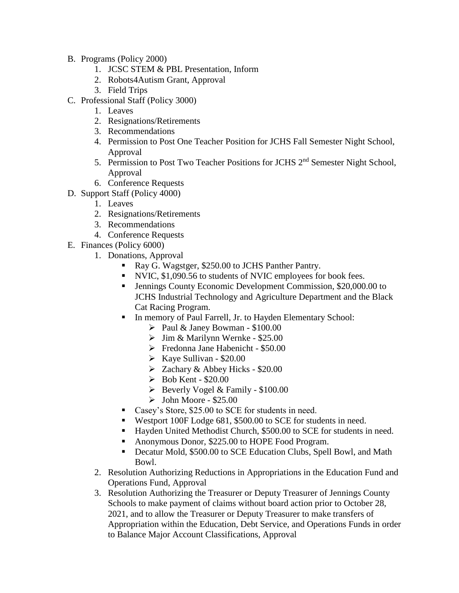- B. Programs (Policy 2000)
	- 1. JCSC STEM & PBL Presentation, Inform
	- 2. Robots4Autism Grant, Approval
	- 3. Field Trips
- C. Professional Staff (Policy 3000)
	- 1. Leaves
	- 2. Resignations/Retirements
	- 3. Recommendations
	- 4. Permission to Post One Teacher Position for JCHS Fall Semester Night School, Approval
	- 5. Permission to Post Two Teacher Positions for JCHS 2<sup>nd</sup> Semester Night School, Approval
	- 6. Conference Requests
- D. Support Staff (Policy 4000)
	- 1. Leaves
	- 2. Resignations/Retirements
	- 3. Recommendations
	- 4. Conference Requests
- E. Finances (Policy 6000)
	- 1. Donations, Approval
		- Ray G. Wagstger, \$250.00 to JCHS Panther Pantry.
		- NVIC, \$1,090.56 to students of NVIC employees for book fees.
		- Jennings County Economic Development Commission, \$20,000.00 to JCHS Industrial Technology and Agriculture Department and the Black Cat Racing Program.
		- In memory of Paul Farrell, Jr. to Hayden Elementary School:
			- $\triangleright$  Paul & Janey Bowman \$100.00
			- $\triangleright$  Jim & Marilynn Wernke \$25.00
			- Fredonna Jane Habenicht \$50.00
			- $\triangleright$  Kaye Sullivan \$20.00
			- $\geq$  Zachary & Abbey Hicks \$20.00
			- $\blacktriangleright$  Bob Kent \$20.00
			- $\triangleright$  Beverly Vogel & Family \$100.00
			- $\blacktriangleright$  John Moore \$25.00
		- Casey's Store, \$25.00 to SCE for students in need.
		- Westport 100F Lodge 681, \$500.00 to SCE for students in need.
		- Hayden United Methodist Church, \$500.00 to SCE for students in need.
		- Anonymous Donor, \$225.00 to HOPE Food Program.
		- Decatur Mold, \$500.00 to SCE Education Clubs, Spell Bowl, and Math Bowl.
	- 2. Resolution Authorizing Reductions in Appropriations in the Education Fund and Operations Fund, Approval
	- 3. Resolution Authorizing the Treasurer or Deputy Treasurer of Jennings County Schools to make payment of claims without board action prior to October 28, 2021, and to allow the Treasurer or Deputy Treasurer to make transfers of Appropriation within the Education, Debt Service, and Operations Funds in order to Balance Major Account Classifications, Approval